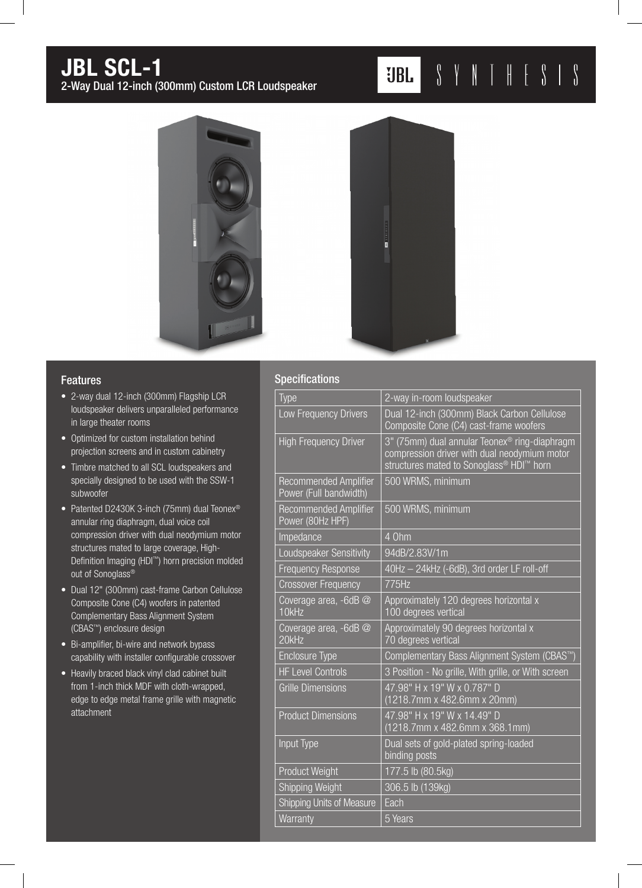# JBL SCL-1

2-Way Dual 12-inch (300mm) Custom LCR Loudspeaker

## $S \quad Y \quad N \quad T \quad H \quad E \quad S \quad I \quad S$  $JBL$



#### Features

- 2-way dual 12-inch (300mm) Flagship LCR loudspeaker delivers unparalleled performance in large theater rooms
- Optimized for custom installation behind projection screens and in custom cabinetry
- Timbre matched to all SCL loudspeakers and specially designed to be used with the SSW-1 subwoofer
- Patented D2430K 3-inch (75mm) dual Teonex<sup>®</sup> annular ring diaphragm, dual voice coil compression driver with dual neodymium motor structures mated to large coverage, High-Definition Imaging (HDI™) horn precision molded out of Sonoglass®
- Dual 12" (300mm) cast-frame Carbon Cellulose Composite Cone (C4) woofers in patented Complementary Bass Alignment System (CBAS™) enclosure design
- Bi-amplifier, bi-wire and network bypass capability with installer configurable crossover
- Heavily braced black vinyl clad cabinet built from 1-inch thick MDF with cloth-wrapped, edge to edge metal frame grille with magnetic attachment

#### **Specificatio**

| 2-way in-room loudspeaker                                                                                                                                                     |
|-------------------------------------------------------------------------------------------------------------------------------------------------------------------------------|
| Dual 12-inch (300mm) Black Carbon Cellulose<br>Composite Cone (C4) cast-frame woofers                                                                                         |
| 3" (75mm) dual annular Teonex <sup>®</sup> ring-diaphragm<br>compression driver with dual neodymium motor<br>structures mated to Sonoglass <sup>®</sup> HDI <sup>™</sup> horn |
| 500 WRMS, minimum                                                                                                                                                             |
| 500 WRMS, minimum                                                                                                                                                             |
| 4 Ohm                                                                                                                                                                         |
| 94dB/2.83V/1m                                                                                                                                                                 |
| 40Hz - 24kHz (-6dB), 3rd order LF roll-off                                                                                                                                    |
| 775Hz                                                                                                                                                                         |
| Approximately 120 degrees horizontal x<br>100 degrees vertical                                                                                                                |
| Approximately 90 degrees horizontal x<br>70 degrees vertical                                                                                                                  |
| Complementary Bass Alignment System (CBAS <sup>™</sup> )                                                                                                                      |
| 3 Position - No grille, With grille, or With screen                                                                                                                           |
| 47.98" H x 19" W x 0.787" D<br>(1218.7mm x 482.6mm x 20mm)                                                                                                                    |
| 47.98" H x 19" W x 14.49" D<br>(1218.7mm x 482.6mm x 368.1mm)                                                                                                                 |
| Dual sets of gold-plated spring-loaded<br>binding posts                                                                                                                       |
| 177.5 lb (80.5kg)                                                                                                                                                             |
| 306.5 lb (139kg)                                                                                                                                                              |
| Each                                                                                                                                                                          |
| 5 Years                                                                                                                                                                       |
|                                                                                                                                                                               |